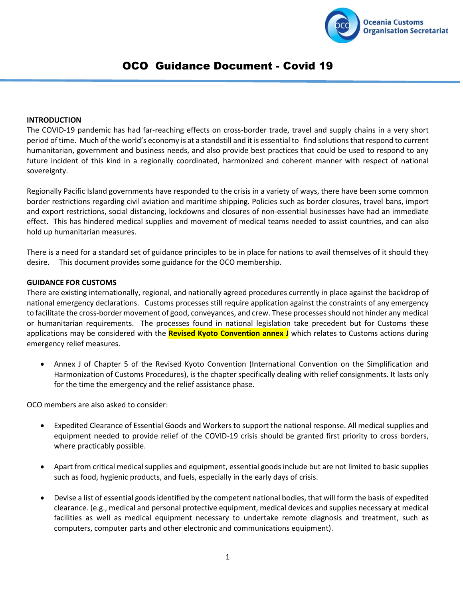

# OCO Guidance Document - Covid 19

#### **INTRODUCTION**

The COVID-19 pandemic has had far-reaching effects on cross-border trade, travel and supply chains in a very short period of time. Much of the world's economy is at a standstill and it is essential to find solutions that respond to current humanitarian, government and business needs, and also provide best practices that could be used to respond to any future incident of this kind in a regionally coordinated, harmonized and coherent manner with respect of national sovereignty.

Regionally Pacific Island governments have responded to the crisis in a variety of ways, there have been some common border restrictions regarding civil aviation and maritime shipping. Policies such as border closures, travel bans, import and export restrictions, social distancing, lockdowns and closures of non-essential businesses have had an immediate effect. This has hindered medical supplies and movement of medical teams needed to assist countries, and can also hold up humanitarian measures.

There is a need for a standard set of guidance principles to be in place for nations to avail themselves of it should they desire. This document provides some guidance for the OCO membership.

#### **GUIDANCE FOR CUSTOMS**

There are existing internationally, regional, and nationally agreed procedures currently in place against the backdrop of national emergency declarations. Customs processes still require application against the constraints of any emergency to facilitate the cross-border movement of good, conveyances, and crew. These processesshould not hinder any medical or humanitarian requirements. The processes found in national legislation take precedent but for Customs these applications may be considered with the **Revised Kyoto Convention annex J** which relates to Customs actions during emergency relief measures.

 Annex J of Chapter 5 of the Revised Kyoto Convention (International Convention on the Simplification and Harmonization of Customs Procedures), is the chapter specifically dealing with relief consignments. It lasts only for the time the emergency and the relief assistance phase.

OCO members are also asked to consider:

- Expedited Clearance of Essential Goods and Workers to support the national response. All medical supplies and equipment needed to provide relief of the COVID-19 crisis should be granted first priority to cross borders, where practicably possible.
- Apart from critical medical supplies and equipment, essential goods include but are not limited to basic supplies such as food, hygienic products, and fuels, especially in the early days of crisis.
- Devise a list of essential goods identified by the competent national bodies, that will form the basis of expedited clearance. (e.g., medical and personal protective equipment, medical devices and supplies necessary at medical facilities as well as medical equipment necessary to undertake remote diagnosis and treatment, such as computers, computer parts and other electronic and communications equipment).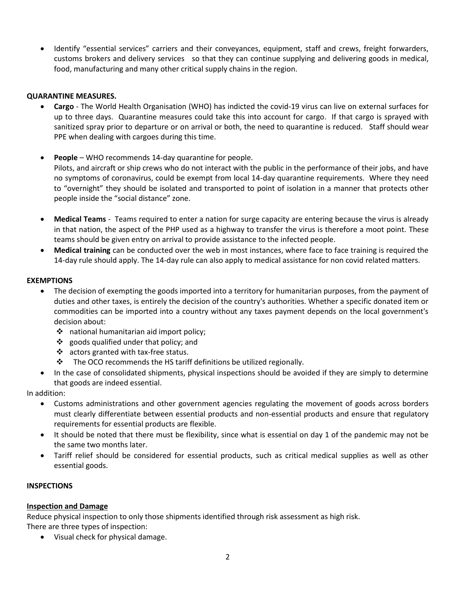Identify "essential services" carriers and their conveyances, equipment, staff and crews, freight forwarders, customs brokers and delivery services so that they can continue supplying and delivering goods in medical, food, manufacturing and many other critical supply chains in the region.

# **QUARANTINE MEASURES.**

- **Cargo** The World Health Organisation (WHO) has indicted the covid-19 virus can live on external surfaces for up to three days. Quarantine measures could take this into account for cargo. If that cargo is sprayed with sanitized spray prior to departure or on arrival or both, the need to quarantine is reduced. Staff should wear PPE when dealing with cargoes during this time.
- **People** WHO recommends 14-day quarantine for people. Pilots, and aircraft or ship crews who do not interact with the public in the performance of their jobs, and have no symptoms of coronavirus, could be exempt from local 14-day quarantine requirements. Where they need to "overnight" they should be isolated and transported to point of isolation in a manner that protects other people inside the "social distance" zone.
- **Medical Teams** Teams required to enter a nation for surge capacity are entering because the virus is already in that nation, the aspect of the PHP used as a highway to transfer the virus is therefore a moot point. These teams should be given entry on arrival to provide assistance to the infected people.
- **Medical training** can be conducted over the web in most instances, where face to face training is required the 14-day rule should apply. The 14-day rule can also apply to medical assistance for non covid related matters.

# **EXEMPTIONS**

- The decision of exempting the goods imported into a territory for humanitarian purposes, from the payment of duties and other taxes, is entirely the decision of the country's authorities. Whether a specific donated item or commodities can be imported into a country without any taxes payment depends on the local government's decision about:
	- national humanitarian aid import policy;
	- $\div$  goods qualified under that policy; and
	- $\div$  actors granted with tax-free status.
	- $\cdot \cdot$  The OCO recommends the HS tariff definitions be utilized regionally.
- In the case of consolidated shipments, physical inspections should be avoided if they are simply to determine that goods are indeed essential.

In addition:

- Customs administrations and other government agencies regulating the movement of goods across borders must clearly differentiate between essential products and non-essential products and ensure that regulatory requirements for essential products are flexible.
- It should be noted that there must be flexibility, since what is essential on day 1 of the pandemic may not be the same two months later.
- Tariff relief should be considered for essential products, such as critical medical supplies as well as other essential goods.

### **INSPECTIONS**

### **Inspection and Damage**

Reduce physical inspection to only those shipments identified through risk assessment as high risk. There are three types of inspection:

Visual check for physical damage.